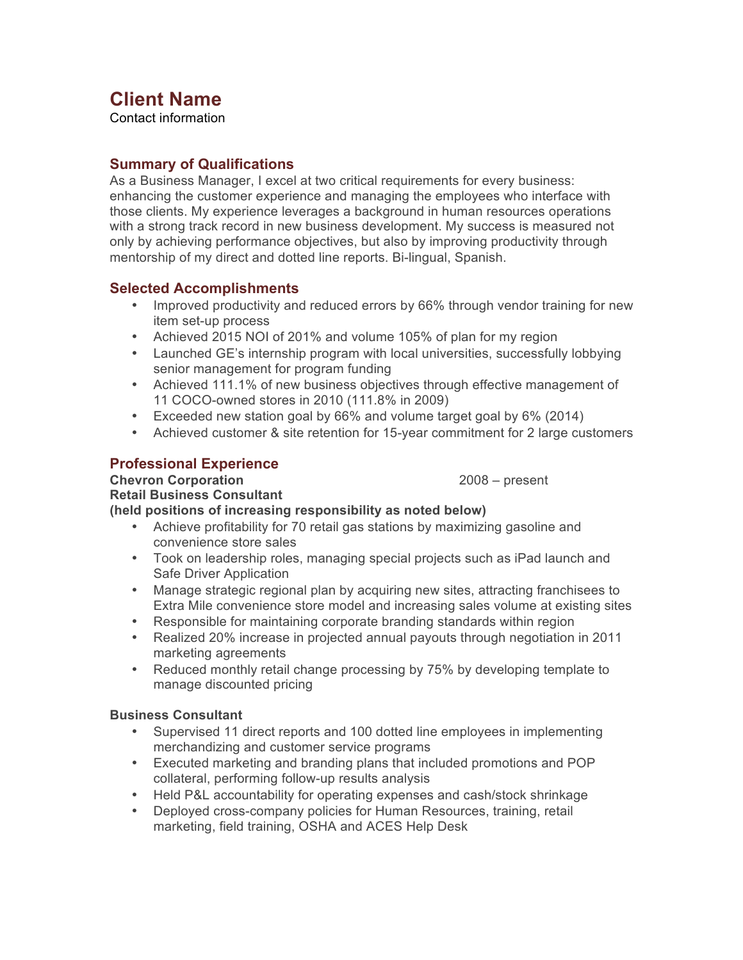# **Client Name**

Contact information

## **Summary of Qualifications**

As a Business Manager, I excel at two critical requirements for every business: enhancing the customer experience and managing the employees who interface with those clients. My experience leverages a background in human resources operations with a strong track record in new business development. My success is measured not only by achieving performance objectives, but also by improving productivity through mentorship of my direct and dotted line reports. Bi-lingual, Spanish.

## **Selected Accomplishments**

- Improved productivity and reduced errors by 66% through vendor training for new item set-up process
- Achieved 2015 NOI of 201% and volume 105% of plan for my region
- Launched GE's internship program with local universities, successfully lobbying senior management for program funding
- Achieved 111.1% of new business objectives through effective management of 11 COCO-owned stores in 2010 (111.8% in 2009)
- Exceeded new station goal by 66% and volume target goal by 6% (2014)
- Achieved customer & site retention for 15-year commitment for 2 large customers

## **Professional Experience**

## **Chevron Corporation** 2008 – present

#### **Retail Business Consultant (held positions of increasing responsibility as noted below)**

- Achieve profitability for 70 retail gas stations by maximizing gasoline and convenience store sales
- Took on leadership roles, managing special projects such as iPad launch and Safe Driver Application
- Manage strategic regional plan by acquiring new sites, attracting franchisees to Extra Mile convenience store model and increasing sales volume at existing sites
- Responsible for maintaining corporate branding standards within region
- Realized 20% increase in projected annual payouts through negotiation in 2011 marketing agreements
- Reduced monthly retail change processing by 75% by developing template to manage discounted pricing

## **Business Consultant**

- Supervised 11 direct reports and 100 dotted line employees in implementing merchandizing and customer service programs
- Executed marketing and branding plans that included promotions and POP collateral, performing follow-up results analysis
- Held P&L accountability for operating expenses and cash/stock shrinkage
- Deployed cross-company policies for Human Resources, training, retail marketing, field training, OSHA and ACES Help Desk